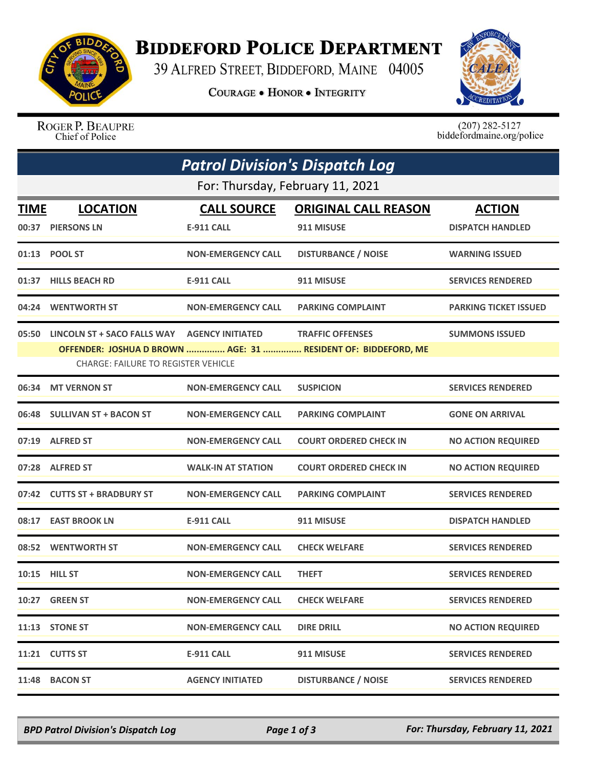

## **BIDDEFORD POLICE DEPARTMENT**

39 ALFRED STREET, BIDDEFORD, MAINE 04005

**COURAGE . HONOR . INTEGRITY** 



ROGER P. BEAUPRE Chief of Police

 $(207)$  282-5127<br>biddefordmaine.org/police

| <b>Patrol Division's Dispatch Log</b>                                                                       |                                                    |                           |                               |                              |  |  |  |
|-------------------------------------------------------------------------------------------------------------|----------------------------------------------------|---------------------------|-------------------------------|------------------------------|--|--|--|
| For: Thursday, February 11, 2021                                                                            |                                                    |                           |                               |                              |  |  |  |
| TIME                                                                                                        | <b>LOCATION</b>                                    | <b>CALL SOURCE</b>        | <b>ORIGINAL CALL REASON</b>   | <b>ACTION</b>                |  |  |  |
|                                                                                                             | 00:37 PIERSONS LN                                  | <b>E-911 CALL</b>         | 911 MISUSE                    | <b>DISPATCH HANDLED</b>      |  |  |  |
|                                                                                                             | 01:13 POOL ST                                      | <b>NON-EMERGENCY CALL</b> | <b>DISTURBANCE / NOISE</b>    | <b>WARNING ISSUED</b>        |  |  |  |
|                                                                                                             | 01:37 HILLS BEACH RD                               | <b>E-911 CALL</b>         | 911 MISUSE                    | <b>SERVICES RENDERED</b>     |  |  |  |
|                                                                                                             | 04:24 WENTWORTH ST                                 | <b>NON-EMERGENCY CALL</b> | <b>PARKING COMPLAINT</b>      | <b>PARKING TICKET ISSUED</b> |  |  |  |
|                                                                                                             | 05:50 LINCOLN ST + SACO FALLS WAY AGENCY INITIATED |                           | <b>TRAFFIC OFFENSES</b>       | <b>SUMMONS ISSUED</b>        |  |  |  |
| OFFENDER: JOSHUA D BROWN  AGE: 31  RESIDENT OF: BIDDEFORD, ME<br><b>CHARGE: FAILURE TO REGISTER VEHICLE</b> |                                                    |                           |                               |                              |  |  |  |
|                                                                                                             | 06:34 MT VERNON ST                                 | <b>NON-EMERGENCY CALL</b> | <b>SUSPICION</b>              | <b>SERVICES RENDERED</b>     |  |  |  |
|                                                                                                             | 06:48 SULLIVAN ST + BACON ST                       | <b>NON-EMERGENCY CALL</b> | <b>PARKING COMPLAINT</b>      | <b>GONE ON ARRIVAL</b>       |  |  |  |
|                                                                                                             | 07:19 ALFRED ST                                    | <b>NON-EMERGENCY CALL</b> | <b>COURT ORDERED CHECK IN</b> | <b>NO ACTION REQUIRED</b>    |  |  |  |
|                                                                                                             | 07:28 ALFRED ST                                    | <b>WALK-IN AT STATION</b> | <b>COURT ORDERED CHECK IN</b> | <b>NO ACTION REQUIRED</b>    |  |  |  |
|                                                                                                             | 07:42 CUTTS ST + BRADBURY ST                       | <b>NON-EMERGENCY CALL</b> | <b>PARKING COMPLAINT</b>      | <b>SERVICES RENDERED</b>     |  |  |  |
|                                                                                                             | 08:17 EAST BROOK LN                                | <b>E-911 CALL</b>         | 911 MISUSE                    | <b>DISPATCH HANDLED</b>      |  |  |  |
|                                                                                                             | 08:52 WENTWORTH ST                                 | <b>NON-EMERGENCY CALL</b> | <b>CHECK WELFARE</b>          | <b>SERVICES RENDERED</b>     |  |  |  |
|                                                                                                             | 10:15 HILL ST                                      | <b>NON-EMERGENCY CALL</b> | <b>THEFT</b>                  | <b>SERVICES RENDERED</b>     |  |  |  |
|                                                                                                             | 10:27 GREEN ST                                     | <b>NON-EMERGENCY CALL</b> | <b>CHECK WELFARE</b>          | <b>SERVICES RENDERED</b>     |  |  |  |
|                                                                                                             | 11:13 STONE ST                                     | <b>NON-EMERGENCY CALL</b> | <b>DIRE DRILL</b>             | <b>NO ACTION REQUIRED</b>    |  |  |  |
|                                                                                                             | 11:21 CUTTS ST                                     | <b>E-911 CALL</b>         | 911 MISUSE                    | <b>SERVICES RENDERED</b>     |  |  |  |
| 11:48                                                                                                       | <b>BACON ST</b>                                    | <b>AGENCY INITIATED</b>   | <b>DISTURBANCE / NOISE</b>    | <b>SERVICES RENDERED</b>     |  |  |  |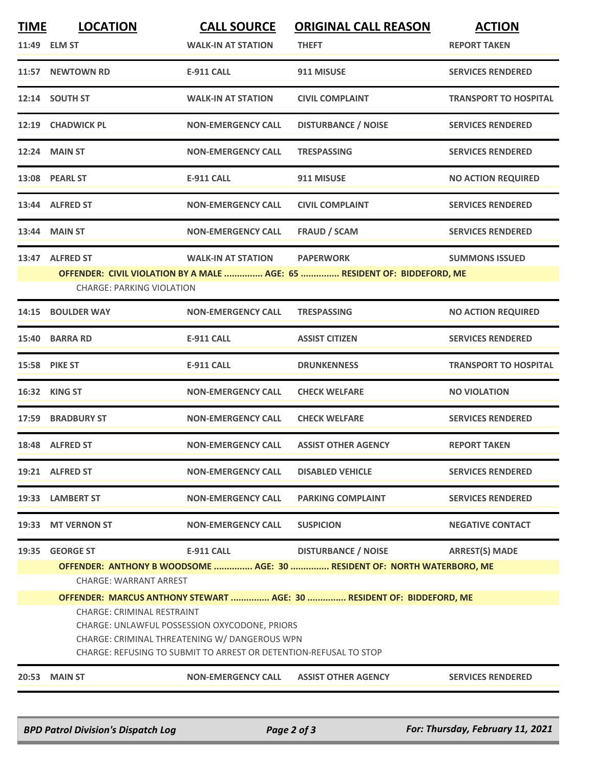| <b>TIME</b> | <b>LOCATION</b>                                                                                        | <b>CALL SOURCE</b>                                                | <b>ORIGINAL CALL REASON</b>                                              | <b>ACTION</b>                |  |  |
|-------------|--------------------------------------------------------------------------------------------------------|-------------------------------------------------------------------|--------------------------------------------------------------------------|------------------------------|--|--|
|             | 11:49 ELM ST                                                                                           | <b>WALK-IN AT STATION</b>                                         | <b>THEFT</b>                                                             | <b>REPORT TAKEN</b>          |  |  |
|             | 11:57 NEWTOWN RD                                                                                       | <b>E-911 CALL</b>                                                 | 911 MISUSE                                                               | <b>SERVICES RENDERED</b>     |  |  |
|             | 12:14 SOUTH ST                                                                                         | <b>WALK-IN AT STATION</b>                                         | <b>CIVIL COMPLAINT</b>                                                   | <b>TRANSPORT TO HOSPITAL</b> |  |  |
|             | 12:19 CHADWICK PL                                                                                      | <b>NON-EMERGENCY CALL</b>                                         | <b>DISTURBANCE / NOISE</b>                                               | <b>SERVICES RENDERED</b>     |  |  |
|             | <b>12:24 MAIN ST</b>                                                                                   | <b>NON-EMERGENCY CALL</b>                                         | <b>TRESPASSING</b>                                                       | <b>SERVICES RENDERED</b>     |  |  |
|             | 13:08 PEARL ST                                                                                         | <b>E-911 CALL</b>                                                 | 911 MISUSE                                                               | <b>NO ACTION REQUIRED</b>    |  |  |
|             | 13:44 ALFRED ST                                                                                        | <b>NON-EMERGENCY CALL</b>                                         | <b>CIVIL COMPLAINT</b>                                                   | <b>SERVICES RENDERED</b>     |  |  |
|             | 13:44 MAIN ST                                                                                          | <b>NON-EMERGENCY CALL</b>                                         | <b>FRAUD / SCAM</b>                                                      | <b>SERVICES RENDERED</b>     |  |  |
|             | 13:47 ALFRED ST                                                                                        | <b>WALK-IN AT STATION</b>                                         | <b>PAPERWORK</b>                                                         | <b>SUMMONS ISSUED</b>        |  |  |
|             | <b>CHARGE: PARKING VIOLATION</b>                                                                       |                                                                   | OFFENDER: CIVIL VIOLATION BY A MALE  AGE: 65  RESIDENT OF: BIDDEFORD, ME |                              |  |  |
| 14:15       | <b>BOULDER WAY</b>                                                                                     | <b>NON-EMERGENCY CALL</b>                                         | <b>TRESPASSING</b>                                                       | <b>NO ACTION REQUIRED</b>    |  |  |
|             | 15:40 BARRA RD                                                                                         | <b>E-911 CALL</b>                                                 | <b>ASSIST CITIZEN</b>                                                    | <b>SERVICES RENDERED</b>     |  |  |
|             | <b>15:58 PIKE ST</b>                                                                                   | E-911 CALL                                                        | <b>DRUNKENNESS</b>                                                       | <b>TRANSPORT TO HOSPITAL</b> |  |  |
| 16:32       | <b>KING ST</b>                                                                                         | <b>NON-EMERGENCY CALL</b>                                         | <b>CHECK WELFARE</b>                                                     | <b>NO VIOLATION</b>          |  |  |
| 17:59       | <b>BRADBURY ST</b>                                                                                     | <b>NON-EMERGENCY CALL</b>                                         | <b>CHECK WELFARE</b>                                                     | <b>SERVICES RENDERED</b>     |  |  |
|             | 18:48 ALFRED ST                                                                                        | <b>NON-EMERGENCY CALL</b>                                         | <b>ASSIST OTHER AGENCY</b>                                               | <b>REPORT TAKEN</b>          |  |  |
|             | 19:21 ALFRED ST                                                                                        | <b>NON-EMERGENCY CALL</b>                                         | <b>DISABLED VEHICLE</b>                                                  | <b>SERVICES RENDERED</b>     |  |  |
|             | 19:33 LAMBERT ST                                                                                       | <b>NON-EMERGENCY CALL</b>                                         | <b>PARKING COMPLAINT</b>                                                 | <b>SERVICES RENDERED</b>     |  |  |
| 19:33       | <b>MT VERNON ST</b>                                                                                    | <b>NON-EMERGENCY CALL</b>                                         | <b>SUSPICION</b>                                                         | <b>NEGATIVE CONTACT</b>      |  |  |
| 19:35       | <b>GEORGE ST</b>                                                                                       | <b>E-911 CALL</b>                                                 | <b>DISTURBANCE / NOISE</b>                                               | <b>ARREST(S) MADE</b>        |  |  |
|             |                                                                                                        |                                                                   | OFFENDER: ANTHONY B WOODSOME  AGE: 30  RESIDENT OF: NORTH WATERBORO, ME  |                              |  |  |
|             | <b>CHARGE: WARRANT ARREST</b><br>OFFENDER: MARCUS ANTHONY STEWART  AGE: 30  RESIDENT OF: BIDDEFORD, ME |                                                                   |                                                                          |                              |  |  |
|             | <b>CHARGE: CRIMINAL RESTRAINT</b>                                                                      |                                                                   |                                                                          |                              |  |  |
|             | CHARGE: UNLAWFUL POSSESSION OXYCODONE, PRIORS                                                          |                                                                   |                                                                          |                              |  |  |
|             | CHARGE: CRIMINAL THREATENING W/ DANGEROUS WPN                                                          |                                                                   |                                                                          |                              |  |  |
|             |                                                                                                        | CHARGE: REFUSING TO SUBMIT TO ARREST OR DETENTION-REFUSAL TO STOP |                                                                          |                              |  |  |
| 20:53       | <b>MAIN ST</b>                                                                                         | <b>NON-EMERGENCY CALL</b>                                         | <b>ASSIST OTHER AGENCY</b>                                               | <b>SERVICES RENDERED</b>     |  |  |
|             |                                                                                                        |                                                                   |                                                                          |                              |  |  |

*BPD Patrol Division's Dispatch Log Page 2 of 3 For: Thursday, February 11, 2021*